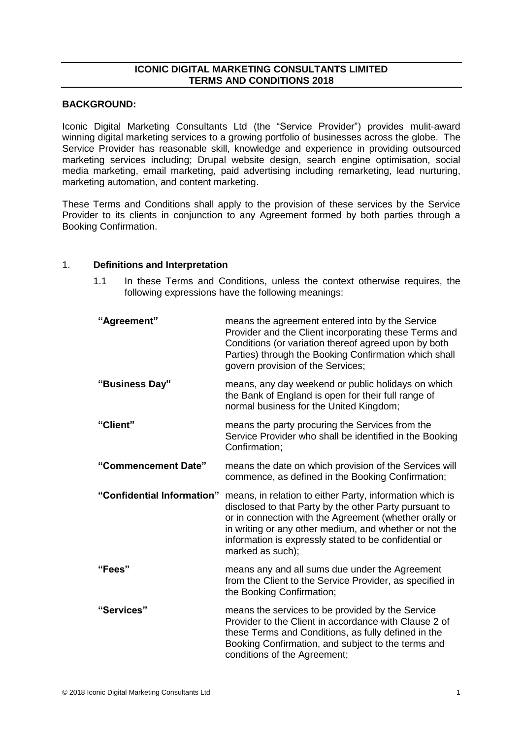# **ICONIC DIGITAL MARKETING CONSULTANTS LIMITED TERMS AND CONDITIONS 2018**

## **BACKGROUND:**

Iconic Digital Marketing Consultants Ltd (the "Service Provider") provides mulit-award winning digital marketing services to a growing portfolio of businesses across the globe. The Service Provider has reasonable skill, knowledge and experience in providing outsourced marketing services including; Drupal website design, search engine optimisation, social media marketing, email marketing, paid advertising including remarketing, lead nurturing, marketing automation, and content marketing.

These Terms and Conditions shall apply to the provision of these services by the Service Provider to its clients in conjunction to any Agreement formed by both parties through a Booking Confirmation.

## 1. **Definitions and Interpretation**

1.1 In these Terms and Conditions, unless the context otherwise requires, the following expressions have the following meanings:

| "Agreement"                | means the agreement entered into by the Service<br>Provider and the Client incorporating these Terms and<br>Conditions (or variation thereof agreed upon by both<br>Parties) through the Booking Confirmation which shall<br>govern provision of the Services;                                                      |
|----------------------------|---------------------------------------------------------------------------------------------------------------------------------------------------------------------------------------------------------------------------------------------------------------------------------------------------------------------|
| "Business Day"             | means, any day weekend or public holidays on which<br>the Bank of England is open for their full range of<br>normal business for the United Kingdom;                                                                                                                                                                |
| "Client"                   | means the party procuring the Services from the<br>Service Provider who shall be identified in the Booking<br>Confirmation;                                                                                                                                                                                         |
| "Commencement Date"        | means the date on which provision of the Services will<br>commence, as defined in the Booking Confirmation;                                                                                                                                                                                                         |
| "Confidential Information" | means, in relation to either Party, information which is<br>disclosed to that Party by the other Party pursuant to<br>or in connection with the Agreement (whether orally or<br>in writing or any other medium, and whether or not the<br>information is expressly stated to be confidential or<br>marked as such); |
| "Fees"                     | means any and all sums due under the Agreement<br>from the Client to the Service Provider, as specified in<br>the Booking Confirmation;                                                                                                                                                                             |
| "Services"                 | means the services to be provided by the Service<br>Provider to the Client in accordance with Clause 2 of<br>these Terms and Conditions, as fully defined in the<br>Booking Confirmation, and subject to the terms and<br>conditions of the Agreement;                                                              |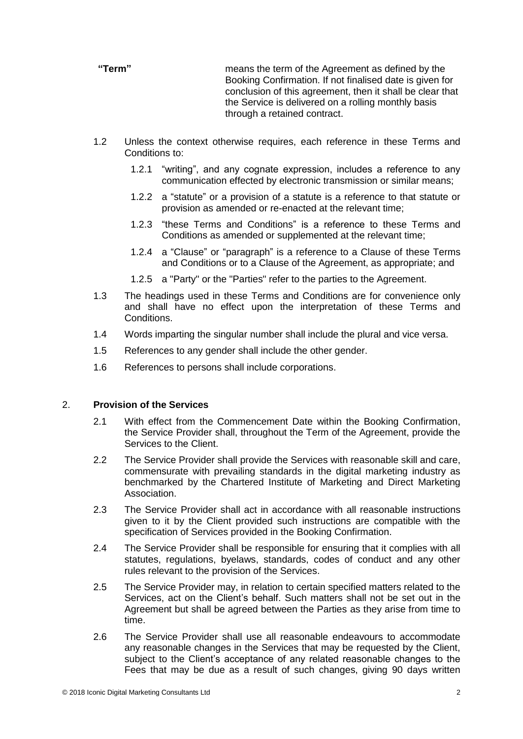**"Term"** means the term of the Agreement as defined by the Booking Confirmation. If not finalised date is given for conclusion of this agreement, then it shall be clear that the Service is delivered on a rolling monthly basis through a retained contract.

- 1.2 Unless the context otherwise requires, each reference in these Terms and Conditions to:
	- 1.2.1 "writing", and any cognate expression, includes a reference to any communication effected by electronic transmission or similar means;
	- 1.2.2 a "statute" or a provision of a statute is a reference to that statute or provision as amended or re-enacted at the relevant time;
	- 1.2.3 "these Terms and Conditions" is a reference to these Terms and Conditions as amended or supplemented at the relevant time;
	- 1.2.4 a "Clause" or "paragraph" is a reference to a Clause of these Terms and Conditions or to a Clause of the Agreement, as appropriate; and
	- 1.2.5 a "Party" or the "Parties" refer to the parties to the Agreement.
- 1.3 The headings used in these Terms and Conditions are for convenience only and shall have no effect upon the interpretation of these Terms and Conditions.
- 1.4 Words imparting the singular number shall include the plural and vice versa.
- 1.5 References to any gender shall include the other gender.
- 1.6 References to persons shall include corporations.

# 2. **Provision of the Services**

- 2.1 With effect from the Commencement Date within the Booking Confirmation, the Service Provider shall, throughout the Term of the Agreement, provide the Services to the Client.
- 2.2 The Service Provider shall provide the Services with reasonable skill and care, commensurate with prevailing standards in the digital marketing industry as benchmarked by the Chartered Institute of Marketing and Direct Marketing Association.
- 2.3 The Service Provider shall act in accordance with all reasonable instructions given to it by the Client provided such instructions are compatible with the specification of Services provided in the Booking Confirmation.
- 2.4 The Service Provider shall be responsible for ensuring that it complies with all statutes, regulations, byelaws, standards, codes of conduct and any other rules relevant to the provision of the Services.
- 2.5 The Service Provider may, in relation to certain specified matters related to the Services, act on the Client's behalf. Such matters shall not be set out in the Agreement but shall be agreed between the Parties as they arise from time to time.
- 2.6 The Service Provider shall use all reasonable endeavours to accommodate any reasonable changes in the Services that may be requested by the Client, subject to the Client's acceptance of any related reasonable changes to the Fees that may be due as a result of such changes, giving 90 days written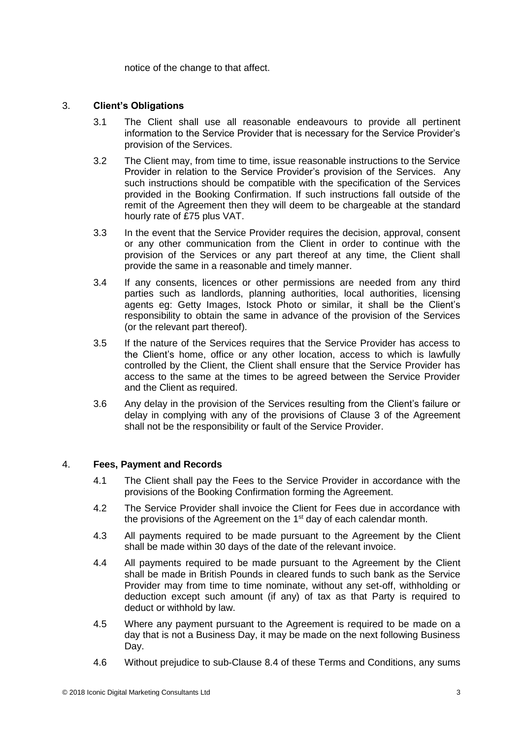notice of the change to that affect.

# 3. **Client's Obligations**

- 3.1 The Client shall use all reasonable endeavours to provide all pertinent information to the Service Provider that is necessary for the Service Provider's provision of the Services.
- 3.2 The Client may, from time to time, issue reasonable instructions to the Service Provider in relation to the Service Provider's provision of the Services. Any such instructions should be compatible with the specification of the Services provided in the Booking Confirmation. If such instructions fall outside of the remit of the Agreement then they will deem to be chargeable at the standard hourly rate of £75 plus VAT.
- 3.3 In the event that the Service Provider requires the decision, approval, consent or any other communication from the Client in order to continue with the provision of the Services or any part thereof at any time, the Client shall provide the same in a reasonable and timely manner.
- 3.4 If any consents, licences or other permissions are needed from any third parties such as landlords, planning authorities, local authorities, licensing agents eg: Getty Images, Istock Photo or similar, it shall be the Client's responsibility to obtain the same in advance of the provision of the Services (or the relevant part thereof).
- 3.5 If the nature of the Services requires that the Service Provider has access to the Client's home, office or any other location, access to which is lawfully controlled by the Client, the Client shall ensure that the Service Provider has access to the same at the times to be agreed between the Service Provider and the Client as required.
- 3.6 Any delay in the provision of the Services resulting from the Client's failure or delay in complying with any of the provisions of Clause 3 of the Agreement shall not be the responsibility or fault of the Service Provider.

# 4. **Fees, Payment and Records**

- 4.1 The Client shall pay the Fees to the Service Provider in accordance with the provisions of the Booking Confirmation forming the Agreement.
- 4.2 The Service Provider shall invoice the Client for Fees due in accordance with the provisions of the Agreement on the 1<sup>st</sup> day of each calendar month.
- 4.3 All payments required to be made pursuant to the Agreement by the Client shall be made within 30 days of the date of the relevant invoice.
- 4.4 All payments required to be made pursuant to the Agreement by the Client shall be made in British Pounds in cleared funds to such bank as the Service Provider may from time to time nominate, without any set-off, withholding or deduction except such amount (if any) of tax as that Party is required to deduct or withhold by law.
- 4.5 Where any payment pursuant to the Agreement is required to be made on a day that is not a Business Day, it may be made on the next following Business Day.
- 4.6 Without prejudice to sub-Clause 8.4 of these Terms and Conditions, any sums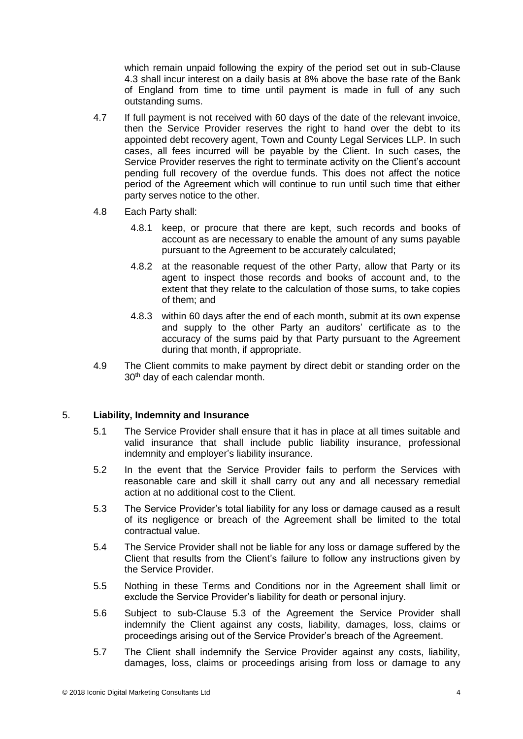which remain unpaid following the expiry of the period set out in sub-Clause 4.3 shall incur interest on a daily basis at 8% above the base rate of the Bank of England from time to time until payment is made in full of any such outstanding sums.

- 4.7 If full payment is not received with 60 days of the date of the relevant invoice, then the Service Provider reserves the right to hand over the debt to its appointed debt recovery agent, Town and County Legal Services LLP. In such cases, all fees incurred will be payable by the Client. In such cases, the Service Provider reserves the right to terminate activity on the Client's account pending full recovery of the overdue funds. This does not affect the notice period of the Agreement which will continue to run until such time that either party serves notice to the other.
- 4.8 Each Party shall:
	- 4.8.1 keep, or procure that there are kept, such records and books of account as are necessary to enable the amount of any sums payable pursuant to the Agreement to be accurately calculated;
	- 4.8.2 at the reasonable request of the other Party, allow that Party or its agent to inspect those records and books of account and, to the extent that they relate to the calculation of those sums, to take copies of them; and
	- 4.8.3 within 60 days after the end of each month, submit at its own expense and supply to the other Party an auditors' certificate as to the accuracy of the sums paid by that Party pursuant to the Agreement during that month, if appropriate.
- 4.9 The Client commits to make payment by direct debit or standing order on the 30<sup>th</sup> day of each calendar month.

# 5. **Liability, Indemnity and Insurance**

- 5.1 The Service Provider shall ensure that it has in place at all times suitable and valid insurance that shall include public liability insurance, professional indemnity and employer's liability insurance.
- 5.2 In the event that the Service Provider fails to perform the Services with reasonable care and skill it shall carry out any and all necessary remedial action at no additional cost to the Client.
- 5.3 The Service Provider's total liability for any loss or damage caused as a result of its negligence or breach of the Agreement shall be limited to the total contractual value.
- 5.4 The Service Provider shall not be liable for any loss or damage suffered by the Client that results from the Client's failure to follow any instructions given by the Service Provider.
- 5.5 Nothing in these Terms and Conditions nor in the Agreement shall limit or exclude the Service Provider's liability for death or personal injury.
- 5.6 Subject to sub-Clause 5.3 of the Agreement the Service Provider shall indemnify the Client against any costs, liability, damages, loss, claims or proceedings arising out of the Service Provider's breach of the Agreement.
- 5.7 The Client shall indemnify the Service Provider against any costs, liability, damages, loss, claims or proceedings arising from loss or damage to any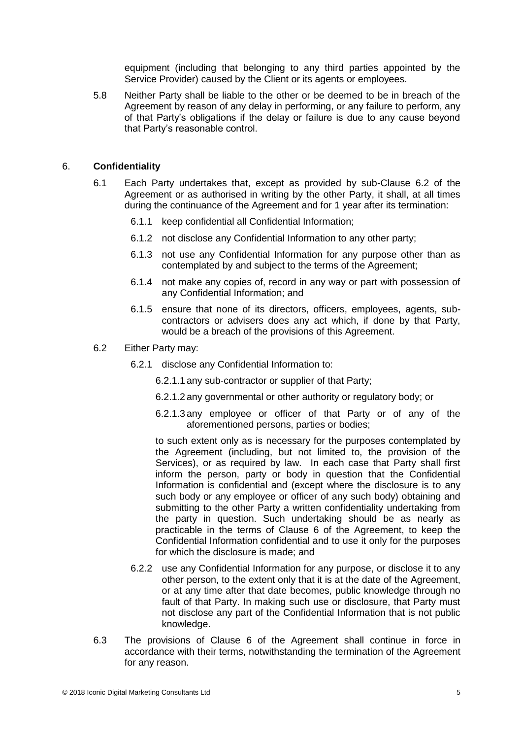equipment (including that belonging to any third parties appointed by the Service Provider) caused by the Client or its agents or employees.

5.8 Neither Party shall be liable to the other or be deemed to be in breach of the Agreement by reason of any delay in performing, or any failure to perform, any of that Party's obligations if the delay or failure is due to any cause beyond that Party's reasonable control.

## 6. **Confidentiality**

- 6.1 Each Party undertakes that, except as provided by sub-Clause 6.2 of the Agreement or as authorised in writing by the other Party, it shall, at all times during the continuance of the Agreement and for 1 year after its termination:
	- 6.1.1 keep confidential all Confidential Information;
	- 6.1.2 not disclose any Confidential Information to any other party;
	- 6.1.3 not use any Confidential Information for any purpose other than as contemplated by and subject to the terms of the Agreement;
	- 6.1.4 not make any copies of, record in any way or part with possession of any Confidential Information; and
	- 6.1.5 ensure that none of its directors, officers, employees, agents, subcontractors or advisers does any act which, if done by that Party, would be a breach of the provisions of this Agreement.
- 6.2 Either Party may:
	- 6.2.1 disclose any Confidential Information to:
		- 6.2.1.1 any sub-contractor or supplier of that Party;
		- 6.2.1.2 any governmental or other authority or regulatory body; or
		- 6.2.1.3 any employee or officer of that Party or of any of the aforementioned persons, parties or bodies;

to such extent only as is necessary for the purposes contemplated by the Agreement (including, but not limited to, the provision of the Services), or as required by law. In each case that Party shall first inform the person, party or body in question that the Confidential Information is confidential and (except where the disclosure is to any such body or any employee or officer of any such body) obtaining and submitting to the other Party a written confidentiality undertaking from the party in question. Such undertaking should be as nearly as practicable in the terms of Clause 6 of the Agreement, to keep the Confidential Information confidential and to use it only for the purposes for which the disclosure is made; and

- 6.2.2 use any Confidential Information for any purpose, or disclose it to any other person, to the extent only that it is at the date of the Agreement, or at any time after that date becomes, public knowledge through no fault of that Party. In making such use or disclosure, that Party must not disclose any part of the Confidential Information that is not public knowledge.
- 6.3 The provisions of Clause 6 of the Agreement shall continue in force in accordance with their terms, notwithstanding the termination of the Agreement for any reason.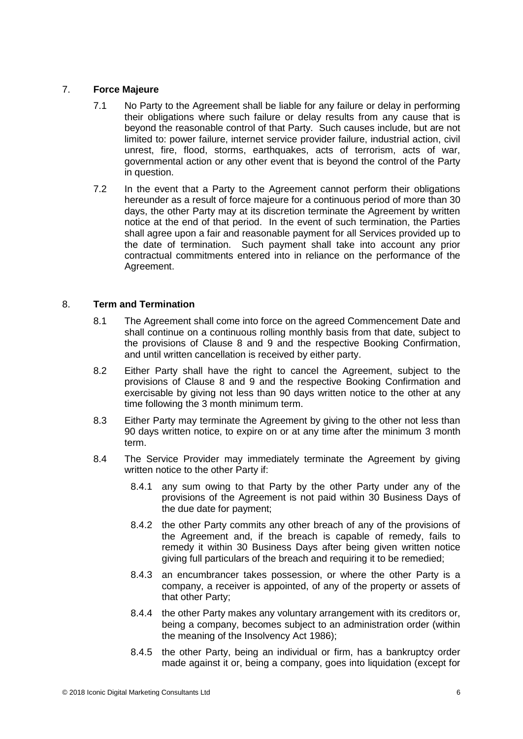# 7. **Force Majeure**

- 7.1 No Party to the Agreement shall be liable for any failure or delay in performing their obligations where such failure or delay results from any cause that is beyond the reasonable control of that Party. Such causes include, but are not limited to: power failure, internet service provider failure, industrial action, civil unrest, fire, flood, storms, earthquakes, acts of terrorism, acts of war, governmental action or any other event that is beyond the control of the Party in question.
- 7.2 In the event that a Party to the Agreement cannot perform their obligations hereunder as a result of force majeure for a continuous period of more than 30 days, the other Party may at its discretion terminate the Agreement by written notice at the end of that period. In the event of such termination, the Parties shall agree upon a fair and reasonable payment for all Services provided up to the date of termination. Such payment shall take into account any prior contractual commitments entered into in reliance on the performance of the Agreement.

# 8. **Term and Termination**

- 8.1 The Agreement shall come into force on the agreed Commencement Date and shall continue on a continuous rolling monthly basis from that date, subject to the provisions of Clause 8 and 9 and the respective Booking Confirmation, and until written cancellation is received by either party.
- 8.2 Either Party shall have the right to cancel the Agreement, subject to the provisions of Clause 8 and 9 and the respective Booking Confirmation and exercisable by giving not less than 90 days written notice to the other at any time following the 3 month minimum term.
- 8.3 Either Party may terminate the Agreement by giving to the other not less than 90 days written notice, to expire on or at any time after the minimum 3 month term.
- 8.4 The Service Provider may immediately terminate the Agreement by giving written notice to the other Party if:
	- 8.4.1 any sum owing to that Party by the other Party under any of the provisions of the Agreement is not paid within 30 Business Days of the due date for payment;
	- 8.4.2 the other Party commits any other breach of any of the provisions of the Agreement and, if the breach is capable of remedy, fails to remedy it within 30 Business Days after being given written notice giving full particulars of the breach and requiring it to be remedied;
	- 8.4.3 an encumbrancer takes possession, or where the other Party is a company, a receiver is appointed, of any of the property or assets of that other Party;
	- 8.4.4 the other Party makes any voluntary arrangement with its creditors or, being a company, becomes subject to an administration order (within the meaning of the Insolvency Act 1986);
	- 8.4.5 the other Party, being an individual or firm, has a bankruptcy order made against it or, being a company, goes into liquidation (except for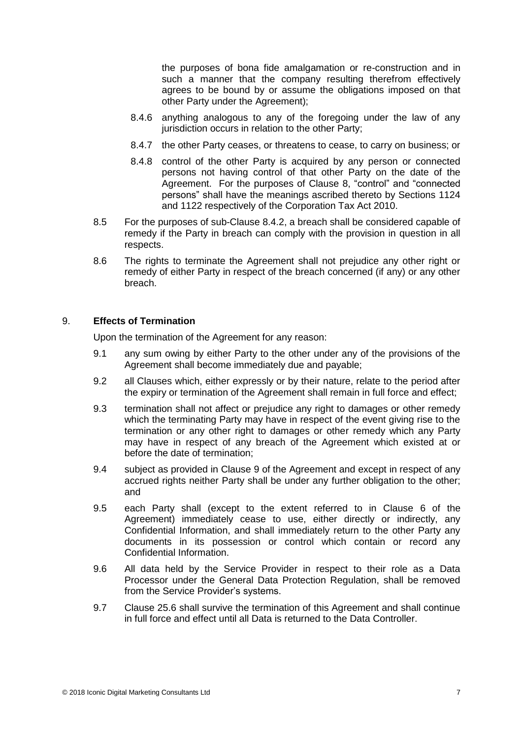the purposes of bona fide amalgamation or re-construction and in such a manner that the company resulting therefrom effectively agrees to be bound by or assume the obligations imposed on that other Party under the Agreement);

- 8.4.6 anything analogous to any of the foregoing under the law of any jurisdiction occurs in relation to the other Party;
- 8.4.7 the other Party ceases, or threatens to cease, to carry on business; or
- 8.4.8 control of the other Party is acquired by any person or connected persons not having control of that other Party on the date of the Agreement. For the purposes of Clause 8, "control" and "connected persons" shall have the meanings ascribed thereto by Sections 1124 and 1122 respectively of the Corporation Tax Act 2010.
- 8.5 For the purposes of sub-Clause 8.4.2, a breach shall be considered capable of remedy if the Party in breach can comply with the provision in question in all respects.
- 8.6 The rights to terminate the Agreement shall not prejudice any other right or remedy of either Party in respect of the breach concerned (if any) or any other breach.

### 9. **Effects of Termination**

Upon the termination of the Agreement for any reason:

- 9.1 any sum owing by either Party to the other under any of the provisions of the Agreement shall become immediately due and payable;
- 9.2 all Clauses which, either expressly or by their nature, relate to the period after the expiry or termination of the Agreement shall remain in full force and effect;
- 9.3 termination shall not affect or prejudice any right to damages or other remedy which the terminating Party may have in respect of the event giving rise to the termination or any other right to damages or other remedy which any Party may have in respect of any breach of the Agreement which existed at or before the date of termination;
- 9.4 subject as provided in Clause 9 of the Agreement and except in respect of any accrued rights neither Party shall be under any further obligation to the other; and
- 9.5 each Party shall (except to the extent referred to in Clause 6 of the Agreement) immediately cease to use, either directly or indirectly, any Confidential Information, and shall immediately return to the other Party any documents in its possession or control which contain or record any Confidential Information.
- 9.6 All data held by the Service Provider in respect to their role as a Data Processor under the General Data Protection Regulation, shall be removed from the Service Provider's systems.
- 9.7 Clause 25.6 shall survive the termination of this Agreement and shall continue in full force and effect until all Data is returned to the Data Controller.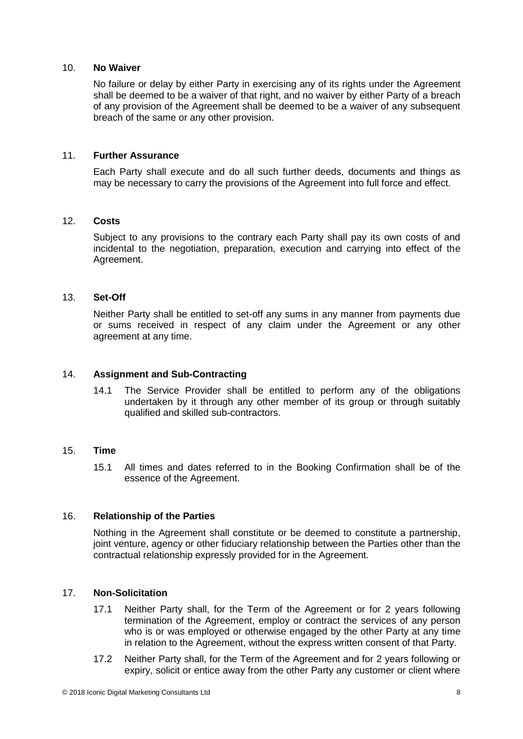### 10. **No Waiver**

No failure or delay by either Party in exercising any of its rights under the Agreement shall be deemed to be a waiver of that right, and no waiver by either Party of a breach of any provision of the Agreement shall be deemed to be a waiver of any subsequent breach of the same or any other provision.

#### 11. **Further Assurance**

Each Party shall execute and do all such further deeds, documents and things as may be necessary to carry the provisions of the Agreement into full force and effect.

## 12. **Costs**

Subject to any provisions to the contrary each Party shall pay its own costs of and incidental to the negotiation, preparation, execution and carrying into effect of the Agreement.

### 13. **Set-Off**

Neither Party shall be entitled to set-off any sums in any manner from payments due or sums received in respect of any claim under the Agreement or any other agreement at any time.

## 14. **Assignment and Sub-Contracting**

14.1 The Service Provider shall be entitled to perform any of the obligations undertaken by it through any other member of its group or through suitably qualified and skilled sub-contractors.

#### 15. **Time**

15.1 All times and dates referred to in the Booking Confirmation shall be of the essence of the Agreement.

### 16. **Relationship of the Parties**

Nothing in the Agreement shall constitute or be deemed to constitute a partnership, joint venture, agency or other fiduciary relationship between the Parties other than the contractual relationship expressly provided for in the Agreement.

### 17. **Non-Solicitation**

- 17.1 Neither Party shall, for the Term of the Agreement or for 2 years following termination of the Agreement, employ or contract the services of any person who is or was employed or otherwise engaged by the other Party at any time in relation to the Agreement, without the express written consent of that Party.
- 17.2 Neither Party shall, for the Term of the Agreement and for 2 years following or expiry, solicit or entice away from the other Party any customer or client where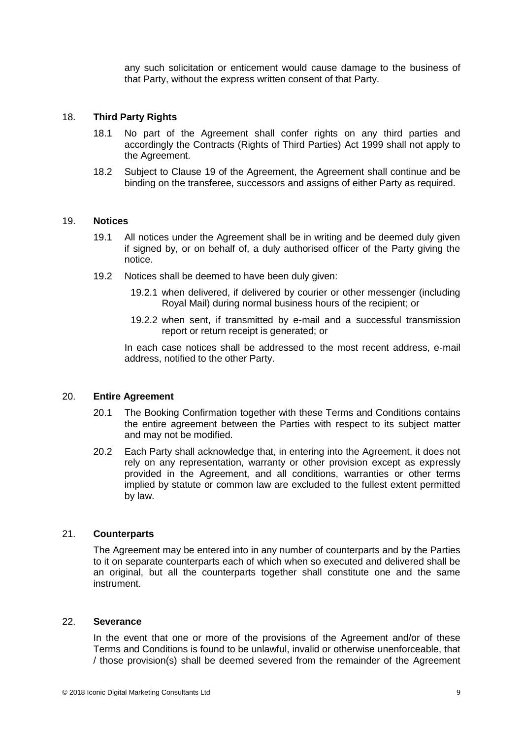any such solicitation or enticement would cause damage to the business of that Party, without the express written consent of that Party.

#### 18. **Third Party Rights**

- 18.1 No part of the Agreement shall confer rights on any third parties and accordingly the Contracts (Rights of Third Parties) Act 1999 shall not apply to the Agreement.
- 18.2 Subject to Clause 19 of the Agreement, the Agreement shall continue and be binding on the transferee, successors and assigns of either Party as required.

#### 19. **Notices**

- 19.1 All notices under the Agreement shall be in writing and be deemed duly given if signed by, or on behalf of, a duly authorised officer of the Party giving the notice.
- 19.2 Notices shall be deemed to have been duly given:
	- 19.2.1 when delivered, if delivered by courier or other messenger (including Royal Mail) during normal business hours of the recipient; or
	- 19.2.2 when sent, if transmitted by e-mail and a successful transmission report or return receipt is generated; or

In each case notices shall be addressed to the most recent address, e-mail address, notified to the other Party.

#### 20. **Entire Agreement**

- 20.1 The Booking Confirmation together with these Terms and Conditions contains the entire agreement between the Parties with respect to its subject matter and may not be modified.
- 20.2 Each Party shall acknowledge that, in entering into the Agreement, it does not rely on any representation, warranty or other provision except as expressly provided in the Agreement, and all conditions, warranties or other terms implied by statute or common law are excluded to the fullest extent permitted by law.

## 21. **Counterparts**

The Agreement may be entered into in any number of counterparts and by the Parties to it on separate counterparts each of which when so executed and delivered shall be an original, but all the counterparts together shall constitute one and the same instrument.

#### 22. **Severance**

In the event that one or more of the provisions of the Agreement and/or of these Terms and Conditions is found to be unlawful, invalid or otherwise unenforceable, that / those provision(s) shall be deemed severed from the remainder of the Agreement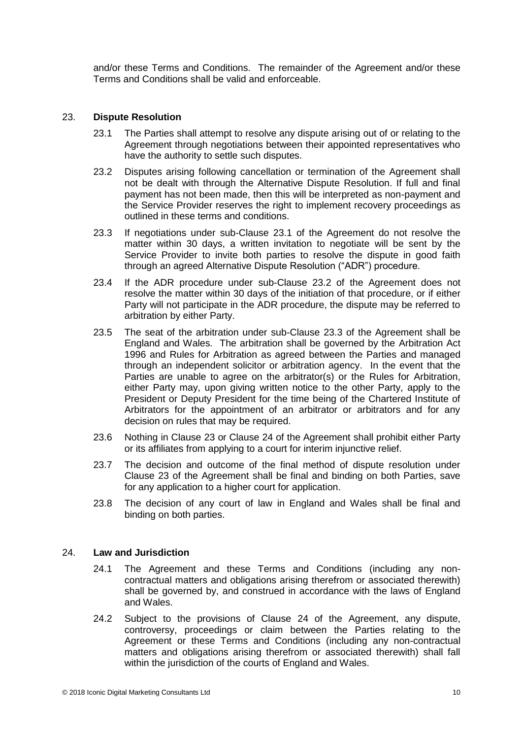and/or these Terms and Conditions. The remainder of the Agreement and/or these Terms and Conditions shall be valid and enforceable.

#### 23. **Dispute Resolution**

- 23.1 The Parties shall attempt to resolve any dispute arising out of or relating to the Agreement through negotiations between their appointed representatives who have the authority to settle such disputes.
- 23.2 Disputes arising following cancellation or termination of the Agreement shall not be dealt with through the Alternative Dispute Resolution. If full and final payment has not been made, then this will be interpreted as non-payment and the Service Provider reserves the right to implement recovery proceedings as outlined in these terms and conditions.
- 23.3 If negotiations under sub-Clause 23.1 of the Agreement do not resolve the matter within 30 days, a written invitation to negotiate will be sent by the Service Provider to invite both parties to resolve the dispute in good faith through an agreed Alternative Dispute Resolution ("ADR") procedure.
- 23.4 If the ADR procedure under sub-Clause 23.2 of the Agreement does not resolve the matter within 30 days of the initiation of that procedure, or if either Party will not participate in the ADR procedure, the dispute may be referred to arbitration by either Party.
- 23.5 The seat of the arbitration under sub-Clause 23.3 of the Agreement shall be England and Wales. The arbitration shall be governed by the Arbitration Act 1996 and Rules for Arbitration as agreed between the Parties and managed through an independent solicitor or arbitration agency. In the event that the Parties are unable to agree on the arbitrator(s) or the Rules for Arbitration, either Party may, upon giving written notice to the other Party, apply to the President or Deputy President for the time being of the Chartered Institute of Arbitrators for the appointment of an arbitrator or arbitrators and for any decision on rules that may be required.
- 23.6 Nothing in Clause 23 or Clause 24 of the Agreement shall prohibit either Party or its affiliates from applying to a court for interim injunctive relief.
- 23.7 The decision and outcome of the final method of dispute resolution under Clause 23 of the Agreement shall be final and binding on both Parties, save for any application to a higher court for application.
- 23.8 The decision of any court of law in England and Wales shall be final and binding on both parties.

# 24. **Law and Jurisdiction**

- 24.1 The Agreement and these Terms and Conditions (including any noncontractual matters and obligations arising therefrom or associated therewith) shall be governed by, and construed in accordance with the laws of England and Wales.
- 24.2 Subject to the provisions of Clause 24 of the Agreement, any dispute, controversy, proceedings or claim between the Parties relating to the Agreement or these Terms and Conditions (including any non-contractual matters and obligations arising therefrom or associated therewith) shall fall within the jurisdiction of the courts of England and Wales.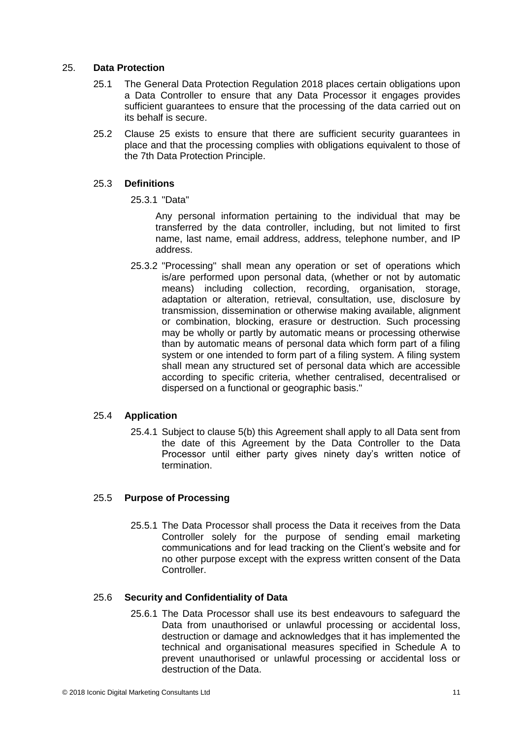### 25. **Data Protection**

- 25.1 The General Data Protection Regulation 2018 places certain obligations upon a Data Controller to ensure that any Data Processor it engages provides sufficient guarantees to ensure that the processing of the data carried out on its behalf is secure.
- 25.2 Clause 25 exists to ensure that there are sufficient security guarantees in place and that the processing complies with obligations equivalent to those of the 7th Data Protection Principle.

### 25.3 **Definitions**

25.3.1 "Data"

Any personal information pertaining to the individual that may be transferred by the data controller, including, but not limited to first name, last name, email address, address, telephone number, and IP address.

25.3.2 "Processing" shall mean any operation or set of operations which is/are performed upon personal data, (whether or not by automatic means) including collection, recording, organisation, storage, adaptation or alteration, retrieval, consultation, use, disclosure by transmission, dissemination or otherwise making available, alignment or combination, blocking, erasure or destruction. Such processing may be wholly or partly by automatic means or processing otherwise than by automatic means of personal data which form part of a filing system or one intended to form part of a filing system. A filing system shall mean any structured set of personal data which are accessible according to specific criteria, whether centralised, decentralised or dispersed on a functional or geographic basis."

# 25.4 **Application**

25.4.1 Subject to clause 5(b) this Agreement shall apply to all Data sent from the date of this Agreement by the Data Controller to the Data Processor until either party gives ninety day's written notice of termination.

# 25.5 **Purpose of Processing**

25.5.1 The Data Processor shall process the Data it receives from the Data Controller solely for the purpose of sending email marketing communications and for lead tracking on the Client's website and for no other purpose except with the express written consent of the Data **Controller.** 

#### 25.6 **Security and Confidentiality of Data**

25.6.1 The Data Processor shall use its best endeavours to safeguard the Data from unauthorised or unlawful processing or accidental loss, destruction or damage and acknowledges that it has implemented the technical and organisational measures specified in Schedule A to prevent unauthorised or unlawful processing or accidental loss or destruction of the Data.